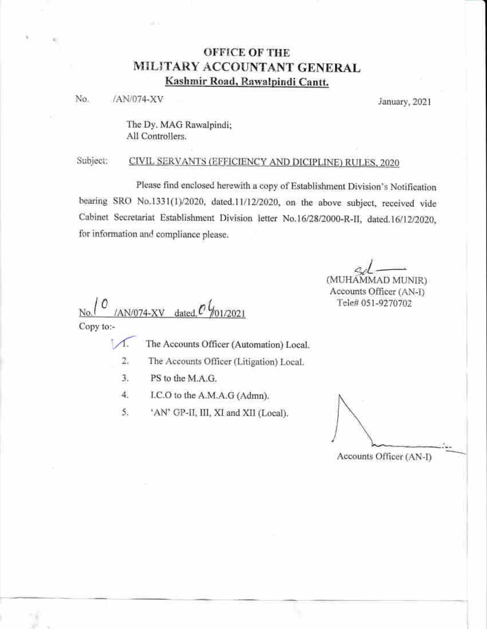# **OFFICE OF THE** MILITARY ACCOUNTANT GENERAL Kashmir Road, Rawalpindi Cantt.

No. /AN/074-XV

January, 2021

The Dy. MAG Rawalpindi; All Controllers.

#### Subject: CIVIL SERVANTS (EFFICIENCY AND DICIPLINE) RULES, 2020

Please find enclosed herewith a copy of Establishment Division's Notification bearing SRO No.1331(1)/2020, dated.11/12/2020, on the above subject, received vide Cabinet Secretariat Establishment Division letter No.16/28/2000-R-II, dated.16/12/2020, for information and compliance please.

(MUHAMMAD MUNIR)

Accounts Officer (AN-I) Tele# 051-9270702

 $1 \text{AN}/074 - XY$  dated  $0\frac{1}{101}/2021$  $No.$ 

Copy to:-

The Accounts Officer (Automation) Local.  $\sqrt{ }$ 

2. The Accounts Officer (Litigation) Local.

- 3. PS to the M.A.G.
- $\overline{4}$ I.C.O to the A.M.A.G (Admn).
- 'AN' GP-II, III, XI and XII (Local). 5.

Accounts Officer (AN-I)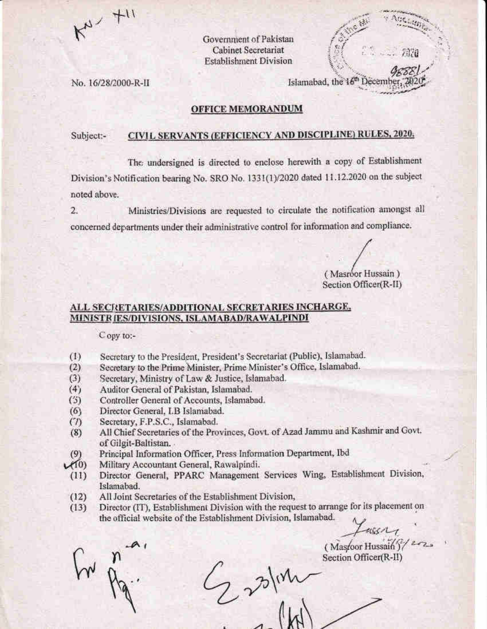

Government of Pakistan **Cabinet Secretariat Establishment Division** 

No. 16/28/2000-R-II

Islamabad, the 16<sup>th</sup> Decem

### **OFFICE MEMORANDUM**

### CIVIL SERVANTS (EFFICIENCY AND DISCIPLINE) RULES, 2020. Subject:-

The undersigned is directed to enclose herewith a copy of Establishment Division's Notification bearing No. SRO No. 1331(1)/2020 dated 11.12.2020 on the subject noted above.

Ministries/Divisions are requested to circulate the notification amongst all  $2.$ concerned departments under their administrative control for information and compliance.

(Masróor Hussain) Section Officer(R-II)

### ALL SECRETARIES/ADDITIONAL SECRETARIES INCHARGE. MINISTRIES/DIVISIONS, ISLAMABAD/RAWALPINDI

Copy to:-

- Secretary to the President, President's Secretariat (Public), Islamabad.  $(1)$
- $(2)$ Secretary to the Prime Minister, Prime Minister's Office, Islamabad.
- $(3)$ Secretary, Ministry of Law & Justice, Islamabad.
- $(4)$ Auditor General of Pakistan, Islamabad.
- $(5)$ Controller General of Accounts, Islamabad.
- Director General, I.B Islamabad.  $(6)$
- Secretary, F.P.S.C., Islamabad.  $(7)$
- All Chief Secretaries of the Provinces, Govt. of Azad Jammu and Kashmir and Govt.  $(8)$ of Gilgit-Baltistan.
- Principal Information Officer, Press Information Department, Ibd (9)
- $V(0)$ Military Accountant General, Rawalpindi.
- Director General, PPARC Management Services Wing, Establishment Division,  $(11)$ Islamabad.
- $(12)$ All Joint Secretaries of the Establishment Division,
- Director (IT), Establishment Division with the request to arrange for its placement on  $(13)$ the official website of the Establishment Division, Islamabad.

 $2\%$ 

Lasser

(Masroor Hussain)  $\frac{2}{2}$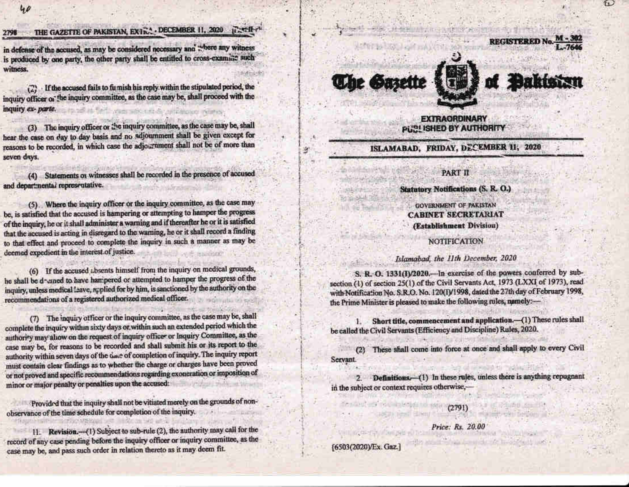# THE GAZETTE OF PAKISTAN, EXTRA . DECEMBER 11, 2020 FACTI

in defense of the accused, as may be considered necessary and where any witness is produced by one party, the other party shall be entitled to cross-examine such witness.

If the accused fails to furnish his reply within the stipulated period, the  $\binom{m}{k}$ inquiry officer or the inquiry committee, as the case may be, shall proceed with the inquiry ex- parte.

(3) The inquiry officer or the inquiry committee, as the case may be, shall hear the case on day to day basis and no adjournment shall be given except for reasons to be recorded, in which case the adjournment shall not be of more than seven days.

(4) Statements or witnesses shall be recorded in the presence of accused and departmental representative.

(5). Where the inquiry officer or the inquiry committee, as the case may be, is satisfied that the accused is hampering or attempting to hamper the progress of the inquiry, he or it shall administer a warning and if thereafter he or it is satisfied that the accused is acting in disregard to the warning, he or it shall record a finding to that effect and proceed to complete the inquiry in such a manner as may be deemed expedient in the interest of justice.

(6) If the accused absents himself from the inquiry on medical grounds, he shall be d-uned to have hampered or attempted to hamper the progress of the inquiry, unless medical leave, applied for by him, is sanctioned by the authority on the recommendations of a registered authorized medical officer.

(7) The inquiry officer or the inquiry committee, as the case may be, shall complete the inquiry within sixty days or within such an extended period which the authority may allow on the request of inquiry officer or Inquiry Committee, as the case may be, for reasons to be recorded and shall submit his or its report to the authority within seven days of the oace of completion of inquiry. The inquiry report must contain clear findings as to whether the charge or charges have been proved or not proved and specific recommendations regarding exoneration or imposition of minor or major penalty or penalties upon the accused:

Provided that the inquiry shall not be vitiated merely on the grounds of nonobservance of the time schedule for completion of the inquiry.

11. Revision.- (1) Subject to sub-rule (2), the authority may call for the record of any case pending before the inquiry officer or inquiry committee, as the case may be, and pass such order in relation thereto as it may deem fit.







### *EXTRAGRDINARY* **PUBLISHED BY AUTHORITY**

ISLAMABAD, FRIDAY, DECEMBER 11, 2020

### PART II

### **Statutory Notifications (S. R. O.)**

**GOVERNMENT OF PAKISTAN CABINET SECRETARIAT** (Establishment Division)

### **NOTIFICATION**

### Islamabad, the 11th December, 2020

S. R. O. 1331(I)/2020. In exercise of the powers conferred by subsection (1) of section 25(1) of the Civil Servants Act, 1973 (LXXI of 1973), read with Notification No. S.R.O. No. 120(I)/1998, dated the 27th day of February 1998, the Prime Minister is pleased to make the following rules, namely:-

Short title, commencement and application.-(1) These rules shall 1. be called the Civil Servants (Efficiency and Discipline) Rules, 2020.

(2) These shall come into force at once and shall apply to every Civil Servant.

Definitions. (1) In these rules, unless there is anything repugnant in the subject or context requires otherwise,-

 $(2791)$ 

Price: Rs. 20.00

[6503(2020)/Ex. Gaz.]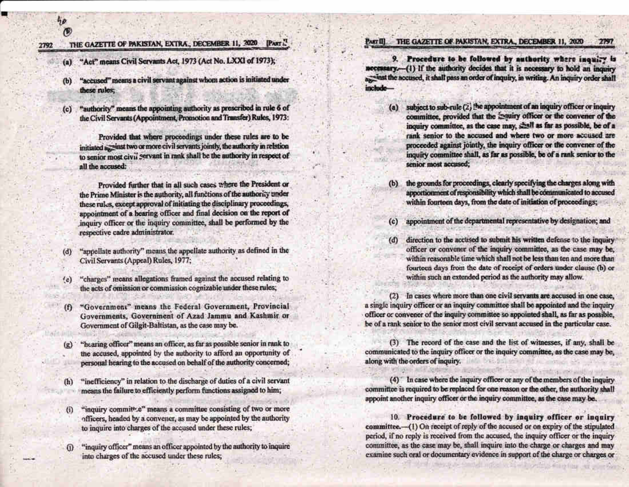$90$ 

### THE GAZETTE OF PAKISTAN, EXTRA., DECEMBER 11, 2020 PART ..

- (a) "Act" means Civil Servants Act, 1973 (Act No. LXXI of 1973);
- "accused" means a civil servant against whom action is initiated under  $(b)$ these rules;
- "authority" means the appointing authority as prescribed in rule 6 of  $(c)$ the Civil Servants (Appointment, Promotion and Transfer) Rules, 1973:

Provided that where proceedings under these rules are to be initiated are inst two or more civil servants jointly, the authority in relation to senior most civil servant in rank shall be the authority in respect of all the accused:

Provided further that in all such cases where the President or the Prime Minister is the authority, all functions of the authority under these rules, except approval of initiating the disciplinary proceedings, appointment of a hearing officer and final decision on the report of inquiry officer or the inquiry committee, shall be performed by the respective cadre administrator.

- "appellate authority" means the appellate authority as defined in the  $(d)$ Civil Servants (Appeal) Rules, 1977;
- "charges" means allegations framed against the accused relating to  $(e)$ the acts of omission or commission cognizable under these rules;
- "Government" means the Federal Government, Provincial (f) Governments, Government of Azad Jammu and Kashmir or Government of Gilgit-Baltistan, as the case may be.
- "hearing officer" means an officer, as far as possible senior in rank to  $(g)$ the accused, appointed by the authority to afford an opportunity of personal hearing to the accused on behalf of the authority concerned;
- "inefficiency" in relation to the discharge of duties of a civil servant  $(h)$ means the failure to efficiently perform functions assigned to him;
- "inquiry committe" means a committee consisting of two or more  $(i)$ officers, headed by a convener, as may be appointed by the authority to inquire into charges of the accused under these rules;
- "inquiry officer" means an officer appointed by the authority to inquire  $\Omega$ into charges of the accused under these rules;

#### PARTII THE GAZETTE OF PAKISTAN, EXTRA., DECEMBER 11, 2020 279

9. Procedure to be followed by authority where inquiry is necessary.-- (1) If the authority decides that it is necessary to hold an inquiry axwinst the accused, it shall pass an order of inquiry, in writing. An inquiry order shall include-

- subject to sub-rule (2) the appointment of an inquiry officer or inquiry  $(a)$ committee, provided that the maniry officer or the convener of the inquiry committee, as the case may, shall as far as possible, be of a rank senior to the accused and where two or more accused are proceeded against jointly, the inquiry officer or the convener of the inquiry committee shall, as far as possible, be of a rank senior to the senior most accused;
- the grounds for proceedings, clearly specifying the charges along with  $(b)$ apportionment of responsibility which shall be communicated to accused within fourteen days, from the date of initiation of proceedings;
- appointment of the departmental representative by designation; and  $(c)$
- direction to the accused to submit his written defense to the inquiry  $(d)$ officer or convener of the inquiry committee, as the case may be, within reasonable time which shall not be less than ten and more than fourteen days from the date of receipt of orders under clause (b) or within such an extended period as the authority may allow.

(2) In cases where more than one civil servants are accused in one case, a single inquiry officer or an inquiry committee shall be appointed and the inquiry officer or convener of the inquiry committee so appointed shall, as far as possible, be of a rank senior to the senior most civil servant accused in the particular case.

(3) The record of the case and the list of witnesses, if any, shall be communicated to the inquiry officer or the inquiry committee, as the case may be, along with the orders of inquiry.

(4) In case where the inquiry officer or any of the members of the inquiry committee is required to be replaced for one reason or the other, the authority shall appoint another inquiry officer or the inquiry committee, as the case may be.

10. Procedure to be followed by inquiry officer or inquiry committee.- (1) On receipt of reply of the accused or on expiry of the stipulated period, if no reply is received from the accused, the inquiry officer or the inquiry committee, as the case may be, shall inquire into the charge or charges and may examine such oral or documentary evidence in support of the charge or charges or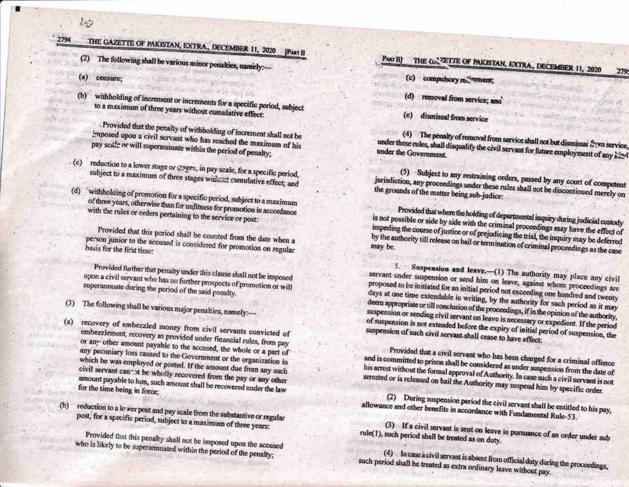### THE GAZETTE OF PAKISTAN, EXTRA., DECEMBER 11, 2020 2794

- **IPART II**
- The following shall be various minor penalties, namely:- $(2)$
- $\left( a\right)$ censure:

w

 $(d)$ 

 $(a)$ 

 $(b)$ 

 $(b)$ 

withholding of increment or increments for a specific period, subject to a maximum of three years without cumulative effect:

Provided that the penalty of withholding of increment shall not be imposed upon a civil servant who has reached the maximum of his pay scale or will superannuate within the period of penalty;

- reduction to a lower stage or stages, in pay scale, for a specific period,  $(c)$ subject to a maximum of three stages without cumulative effect; and
	- 'withholding of promotion for a specific period, subject to a maximum of three years, otherwise than for unfitness for promotion in accordance with the rules or orders pertaining to the service or post:

Provided that this period shall be counted from the date when a person junior to the accused is considered for promotion on regular basis for the first time:

Provided further that penalty under this clause shall not be imposed upon a civil servant who has no further prospects of promotion or will superannuate during the period of the said penalty.

The following shall be various major penalties, namely :- $(3)$ 

recovery of embezzled money from civil servants convicted of embezzlement, recovery as provided under financial rules, from pay or any other amount payable to the accused, the whole or a part of any pecuniary loss caused to the Government or the organization in which he was employed or posted. If the amount due from any such civil servant cannot be wholly recovered from the pay or any other amount payable to him, such amount shall be recovered under the law for the time being in force;

reduction to a lewer post and pay scale from the substantive or regular post, for a specific period, subject to a maximum of three years:

Provided that this penalty shall not be imposed upon the accused who is likely to be superannuated within the period of the penalty;

### THE GAZETTE OF PAKISTAN, EXTRA, DECEMBER 11, 2020 PART III

- (c) compulsory recirement;
- (d) removal from service; and
- dismissal from service  $(e)$

(4) The penalty of removal from service shall not but dismissal from service, under these rules, shall disqualify the civil servant for future employment of any kind

(5) Subject to any restraining orders, passed by any court of competent jurisdiction, any proceedings under these rules shall not be discontinued merely on the grounds of the matter being sub-judice:

Provided that where the holding of departmental inquiry during judicial custody is not possible or side by side with the criminal proceedings may have the effect of impeding the course of justice or of prejudicing the trial, the inquiry may be deferred by the authority till release on bail or termination of criminal proceedings as the case

5. Suspension and leave.-(1) The authority may place any civil servant under suspension or send him on leave, against whom proceedings are proposed to be initiated for an initial period not exceeding one hundred and twenty days at one time extendable in writing, by the authority for such period as it may deem appropriate or till conclusion of the proceedings, if in the opinion of the authority, suspension or sending civil servant on leave is necessary or expedient. If the period of suspension is not extended before the expiry of initial period of suspension, the suspension of such civil servant shall cease to have effect:

Provided that a civil servant who has been charged for a criminal offence and is committed to prison shall be considered as under suspension from the date of his arrest without the formal approval of Authority. In case such a civil servant is not arrested or is released on bail the Authority may suspend him by specific order.

(2) During suspension period the civil servant shall be entitled to his pay, allowance and other benefits in accordance with Fundamental Rule-53.

(3) If a civil servant is sent on leave in pursuance of an order under sub rule(1), such period shall be treated as on duty.

(4) In case a civil servant is absent from official duty during the proceedings, such period shall be treated as extra ordinary leave without pay.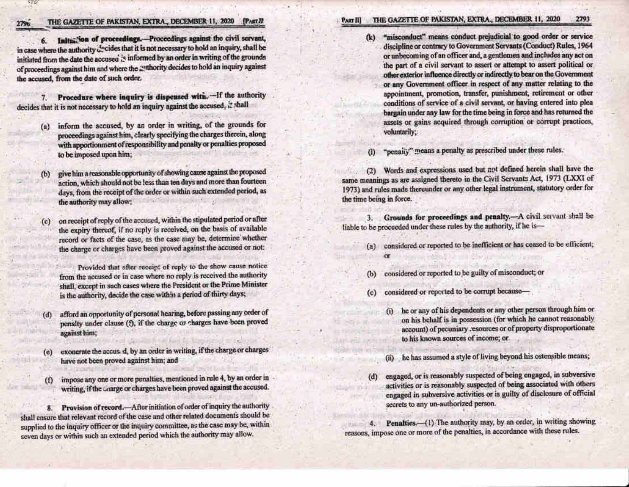### THE GAZETTE OF PAKISTAN, EXTRA., DECEMBER 11, 2020 [PART II

6. Initia, on of proceedings. Proceedings against the civil servant, in case where the authority decides that it is not necessary to hold an inquiry, shall be initiated from the date the accused 's informed by an order in writing of the grounds of proceedings against him and where the authority decides to hold an inquiry against the accused, from the date of such order.

Procedure where inquiry is dispensed with. -If the authority  $7.$ decides that it is not necessary to hold an inquiry against the accused, it shall

- inform the accused, by an order in writing, of the grounds for  $(a)$ proceedings against him, clearly specifying the charges therein, along with apportionment of responsibility and penalty or penalties proposed to be imposed upon him;
- give him a reasonable opportunity of showing cause against the proposed  $(b)$ action, which should not be less than ten days and more than fourteen days, from the receipt of the order or within such extended period, as the authority may allow;

on receipt of reply of the accused, within the stipulated period or after the expiry thereof, if no reply is received, on the basis of available record or facts of the case, as the case may be, determine whether the charge or charges have been proved against the accused or not:

Provided that after receipt of reply to the show cause notice from the accused or in case where no reply is received the authority shall, except in such cases where the President or the Prime Minister is the authority, decide the case within a period of thirty days;

- afford an opportunity of personal hearing, before passing any order of  $(d)$ penalty under clause (f), if the charge or charges have been proved against him;
- exonerate the accus d, by an order in writing, if the charge or charges  $(e)$ have not been proved against him; and
- impose any one or more penalties, mentioned in rule 4, by an order in  $\omega$ writing, if the charge or charges have been proved against the accused.

8. Provision of record.—After initiation of order of inquiry the authority shall ensure that relevant record of the case and other related documents should be supplied to the inquiry officer or the inquiry committee, as the case may be, within seven days or within such an extended period which the authority may allow.

#### PART III THE GAZETTE OF PAKISTAN, EXTRA., DECEMBER 11, 2020 2793

"misconduct" means conduct prejudicial to good order or service  $(k)$ discipline or contrary to Government Servants (Conduct) Rules, 1964 or unbecoming of an officer and, a gentlemen and includes any act on the part of a civil servant to assert or attempt to assert political or other exterior influence directly or indirectly to bear on the Government or any Government officer in respect of any matter relating to the appointment, promotion, transfer, punishment, retirement or other conditions of service of a civil servant, or having entered into plea bargain under any law for the time being in force and has returned the assets or gains acquired through corruption or corrupt practices, voluntarily;

"penalty" means a penalty as prescribed under these rules.  $\omega$ 

(2) Words and expressions used but not defined herein shall have the same meanings as are assigned thereto in the Civil Servants Act, 1973 (LXXI of 1973) and rules made thereunder or any other legal instrument, statutory order for the time being in force.

3. Grounds for proceedings and penalty.- A civil servant shall be liable to be proceeded under these rules by the authority, if he is-

- (a) considered or reported to be inefficient or has ceased to be efficient;
	-
- considered or reported to be guilty of misconduct; or (b)
- considered or reported to be corrupt because- $(c)$ 
	- he or any of his dependents or any other person through him or  $\omega$ on his behalf is in possession (for which he cannot reasonably account) of pecuniary resources or of property disproportionate to his known sources of income; or
	- he has assumed a style of living beyond his ostensible means;  $(n)$
- engaged, or is reasonably suspected of being engaged, in subversive  $(d)$ activities or is reasonably suspected of being associated with others engaged in subversive activities or is guilty of disclosure of official secrets to any un-authorized person.

Penalties.-(1) The authority may, by an order, in writing showing  $4.1$ reasons, impose one or more of the penalties, in accordance with these rules.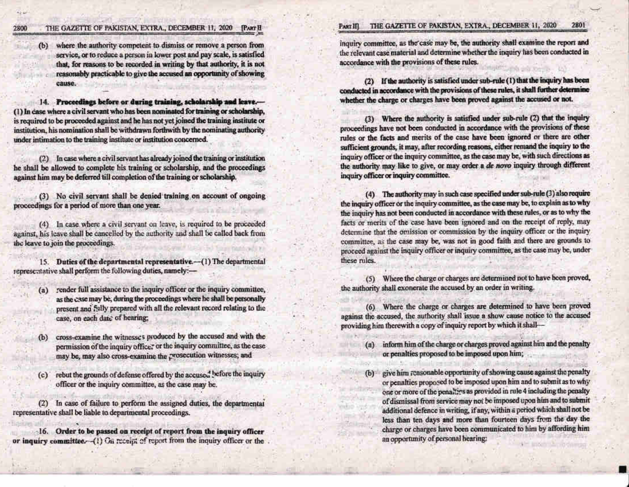#### THE GAZETTE OF PAKISTAN, EXTRA., DECEMBER 11, 2020 2800 **PART H**

where the authority competent to dismiss or remove a person from  $(b)$ service, or to reduce a person in lower post and pay scale, is satisfied that, for reasons to be recorded in writing by that authority, it is not reasonably practicable to give the accused an opportunity of showing cause.

14. Proceedings before or during training, scholarship and leave.-(1) In case where a civil servant who has been nominated for training or scholarship, is required to be proceeded against and he has not yet joined the training institute or institution, his nomination shall be withdrawn forthwith by the nominating authority under intimation to the training institute or institution concerned.

(2) In case where a civil servant has already joined the training or institution he shall be allowed to complete his training or scholarship, and the proceedings against him may be deferred till completion of the training or scholarship.

(3) No civil servant shall be denied training on account of ongoing proceedings for a period of more than one year.

(4) In case where a civil servant on leave, is required to be proceeded against, his leave shall be cancelled by the authority and shall be called back from the leave to join the proceedings.

15. Duties of the departmental representative.-(1) The departmental representative shall perform the following duties, namely:-

- render full assistance to the inquiry officer or the inquiry committee,  $(a)$ as the case may be, during the proceedings where he shall be personally present and fully prepared with all the relevant record relating to the case, on each date of hearing;
- cross-examine the witnesses produced by the accused and with the  $(b)$ permission of the inquiry office, or the inquiry committee, as the case may be, may also cross-examine the prosecution witnesses; and
- rebut the grounds of defense offered by the accused before the inquiry  $(c)$ officer or the inquiry committee, as the case may be.

(2) In case of failure to perform the assigned duties, the departmental representative shall be liable to departmental proceedings.

16. Order to be passed on receipt of report from the inquiry officer or inquiry committee. (1) On receipt of report from the inquiry officer or the

#### THE GAZETTE OF PAKISTAN, EXTRA., DECEMBER 11, 2020 2801 PART III

inquiry committee, as the case may be, the authority shall examine the report and the relevant case material and determine whether the inquiry has been conducted in accordance with the provisions of these rules.

(2) If the authority is satisfied under sub-rule (1) that the inquiry has been conducted in accordance with the provisions of these rules, it shall further determine whether the charge or charges have been proved against the accused or not.

(3) Where the nuthority is satisfied under sub-rule (2) that the inquiry proceedings have not been conducted in accordance with the provisions of these rules or the facts and merits of the case have been ignored or there are other sufficient grounds, it may, after recording reasons, either remand the inquiry to the inquiry officer or the inquiry committee, as the case may be, with such directions as the authority may like to give, or may order a de novo inquiry through different inquiry officer or inquiry committee.

(4) The authority may in such case specified under sub-rule (3) also require the inquiry officer or the inquiry committee, as the case may be, to explain as to why the inquiry has not been conducted in accordance with these rules, or as to why the facts or merits of the case have been ignored and on the receipt of reply, may determine that the omission or commission by the inquiry officer or the inquiry committee, as the case may be, was not in good faith and there are grounds to proceed against the inquiry officer or inquiry committee, as the case may be, under these rules.

(5) Where the charge or charges are determined not to have been proved, the authority shall exonerate the accused by an order in writing.

(6) Where the charge or charges are determined to have been proved against the accused, the authority shall issue a show cause notice to the accused providing him therewith a copy of inquiry report by which it shall-

- (a) inform him of the charge or charges proved against him and the penalty or penalties proposed to be imposed upon him;
- give him reasonable opportunity of showing cause against the penalty  $(b)$ or penalties proposed to be imposed upon him and to submit as to why one or more of the penalties as provided in rule 4 including the penalty of dismissal from service may not be imposed upon him and to submit additional defence in writing, if any, within a period which shall not be less than ten days and more than fourteen days from the day the charge or charges have been communicated to him by affording him an opportunity of personal hearing: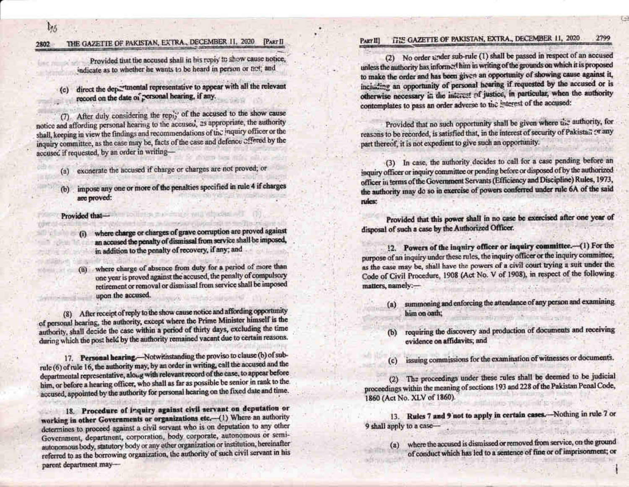$l_{15}$ 

#### THE GAZETTE OF PAKISTAN, EXTRA., DECEMBER 11, 2020 [PART II 2802

Provided that the accused shall in his reply to show cause notice, indicate as to whether he wants to be heard in person or net; and

direct the departmental representative to appear with all the relevant<br>record on the date of personal hearing, if any.

(7) After duly considering the reply of the accused to the show cause notice and affording personal hearing to the accused, as appropriate, the authority shall, keeping in view the findings and recommendations of the inquiry officer or the inquiry committee, as the case may be, facts of the case and defence offered by the accused if requested, by an order in writing-

- exonerate the accused if charge or charges are not proved; or  $(a)$
- (b) impose any one or more of the penalties specified in rule 4 if charges are proved:

### Provided that-

- (i) where charge or charges of grave corruption are proved against an accused the penalty of dismissal from service shall be imposed, in addition to the penalty of recovery, if any; and
- (ii) where charge of absence from duty for a period of more than one year is proved against the accused, the penalty of compulsory retirement or removal or dismissal from service shall be imposed upon the accused.

(8) After receipt of reply to the show cause notice and affording opportunity of personal hearing, the authority, except where the Prime Minister himself is the authority, shall decide the case within a period of thirty days, excluding the time during which the post held by the authority remained vacant due to certain reasons.

17. Personal hearing.-Notwithstanding the proviso to clause (b) of subrule (6) of rule 16, the authority may, by an order in writing, call the accused and the departmental representative, along with relevant record of the case, to appear before him, or before a hearing officer, who shall as far as possible be senior in rank to the accused, appointed by the authority for personal hearing on the fixed date and time.

18. Procedure of inquiry against civil servant on deputation or working in other Governments or organizations etc.-(1) Where an authority determines to proceed against a civil servant who is on deputation to any other Government, department, corporation, body corporate, autonomous or semiautonomous body, statutory body or any other organization or institution, hereinafter referred to as the borrowing organization, the authority of such civil servant in his parent department may-

#### **GRE GAZETTE OF PAKISTAN, EXTRA., DECEMBER 11, 2020** 2799 PART III

(2) No order under sub-rule (1) shall be passed in respect of an accused unless the authority has informed him in writing of the grounds on which it is proposed to make the order and has been given an opportunity of showing cause against it. including an opportunity of personal hearing if requested by the accused or is otherwise necessary in the interest of justice, in particular, when the authority contemplates to pass an order adverse to the interest of the accused:

Provided that no such opportunity shall be given where the authority, for reasons to be recorded, is satisfied that, in the interest of security of Pakistan or any part thereof, it is not expedient to give such an opportunity.

(3) In case, the authority decides to call for a case pending before an inquiry officer or inquiry committee or pending before or disposed of by the authorized officer in terms of the Government Servants (Efficiency and Discipline) Rules, 1973. the authority may do so in exercise of powers conferred under rule 6A of the said rules:

Provided that this power shall in no case be exercised after one year of disposal of such a case by the Authorized Officer.

12. Powers of the inquiry officer or inquiry committee.-(1) For the purpose of an inquiry under these rules, the inquiry officer or the inquiry committee, as the case may be, shall have the powers of a civil court trying a suit under the Code of Civil Procedure, 1908 (Act No. V of 1908), in respect of the following matters, namely:-

- summoning and enforcing the attendance of any person and examining  $(a)$ him on oath;
- requiring the discovery and production of documents and receiving  $(b)$ evidence on affidavits; and
- issuing commissions for the examination of witnesses or documents.  $(c)$

(2) The proceedings under these rules shall be deemed to be judicial proceedings within the meaning of sections 193 and 228 of the Pakistan Penal Code, 1860 (Act No. XLV of 1860).

13. Rules 7 and 9 not to apply in certain cases.-Nothing in rule 7 or 9 shall apply to a case-

(a) where the accused is dismissed or removed from service, on the ground of conduct which has led to a sentence of fine or of imprisonment; or